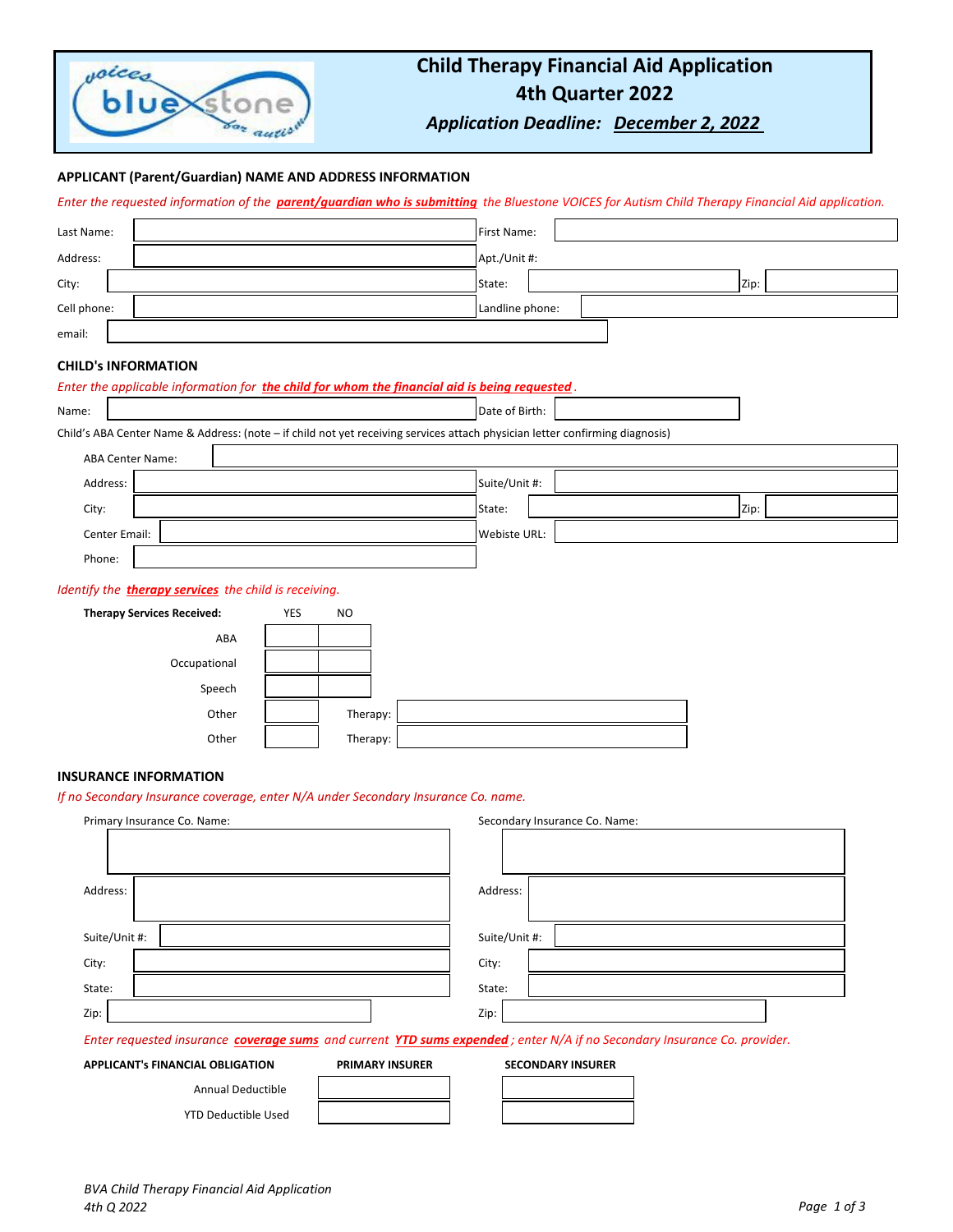

# **Child Therapy Financial Aid Application 4th Quarter 2022**

*Application Deadline: December 2, 2022* 

# **APPLICANT (Parent/Guardian) NAME AND ADDRESS INFORMATION**

*Enter the requested information of the parent/guardian who is submitting the Bluestone VOICES for Autism Child Therapy Financial Aid application.*

| Last Name:  | First Name:     |  |  |      |
|-------------|-----------------|--|--|------|
| Address:    | Apt./Unit #:    |  |  |      |
| City:       | State:          |  |  | Zip: |
| Cell phone: | Landline phone: |  |  |      |
| email:      |                 |  |  |      |

### **CHILD's INFORMATION**

| Enter the applicable information for the child for whom the financial aid is being requested. |                                                                                                                              |  |  |  |  |
|-----------------------------------------------------------------------------------------------|------------------------------------------------------------------------------------------------------------------------------|--|--|--|--|
| Name:                                                                                         | Date of Birth:                                                                                                               |  |  |  |  |
|                                                                                               | Child's ABA Center Name & Address: (note - if child not yet receiving services attach physician letter confirming diagnosis) |  |  |  |  |
| <b>ABA Center Name:</b>                                                                       |                                                                                                                              |  |  |  |  |
| Address:                                                                                      | Suite/Unit #:                                                                                                                |  |  |  |  |
| City:                                                                                         | State:<br>Zip:                                                                                                               |  |  |  |  |
| Center Email:                                                                                 | Webiste URL:                                                                                                                 |  |  |  |  |
| Phone:                                                                                        |                                                                                                                              |  |  |  |  |
|                                                                                               | Identify the <b>therapy services</b> the child is receiving.                                                                 |  |  |  |  |
| <b>Therapy Services Received:</b>                                                             | <b>YES</b><br><b>NO</b>                                                                                                      |  |  |  |  |
| ABA                                                                                           |                                                                                                                              |  |  |  |  |
| Occupational                                                                                  |                                                                                                                              |  |  |  |  |
| Speech                                                                                        |                                                                                                                              |  |  |  |  |
| Other                                                                                         | Therapy:                                                                                                                     |  |  |  |  |
| Other                                                                                         | Therapy:                                                                                                                     |  |  |  |  |
|                                                                                               |                                                                                                                              |  |  |  |  |

# **INSURANCE INFORMATION**

*If no Secondary Insurance coverage, enter N/A under Secondary Insurance Co. name.*

| Primary Insurance Co. Name:                                                                                              |                        | Secondary Insurance Co. Name: |  |  |  |
|--------------------------------------------------------------------------------------------------------------------------|------------------------|-------------------------------|--|--|--|
|                                                                                                                          |                        |                               |  |  |  |
|                                                                                                                          |                        |                               |  |  |  |
| Address:                                                                                                                 |                        | Address:                      |  |  |  |
|                                                                                                                          |                        |                               |  |  |  |
| Suite/Unit #:                                                                                                            |                        | Suite/Unit #:                 |  |  |  |
| City:                                                                                                                    |                        | City:                         |  |  |  |
| State:                                                                                                                   |                        | State:                        |  |  |  |
| Zip:                                                                                                                     |                        | Zip:                          |  |  |  |
| Enter requested insurance coverage sums and current YTD sums expended; enter N/A if no Secondary Insurance Co. provider. |                        |                               |  |  |  |
| <b>APPLICANT's FINANCIAL OBLIGATION</b>                                                                                  | <b>PRIMARY INSURER</b> | <b>SECONDARY INSURER</b>      |  |  |  |
| <b>Annual Deductible</b>                                                                                                 |                        |                               |  |  |  |

YTD Deductible Used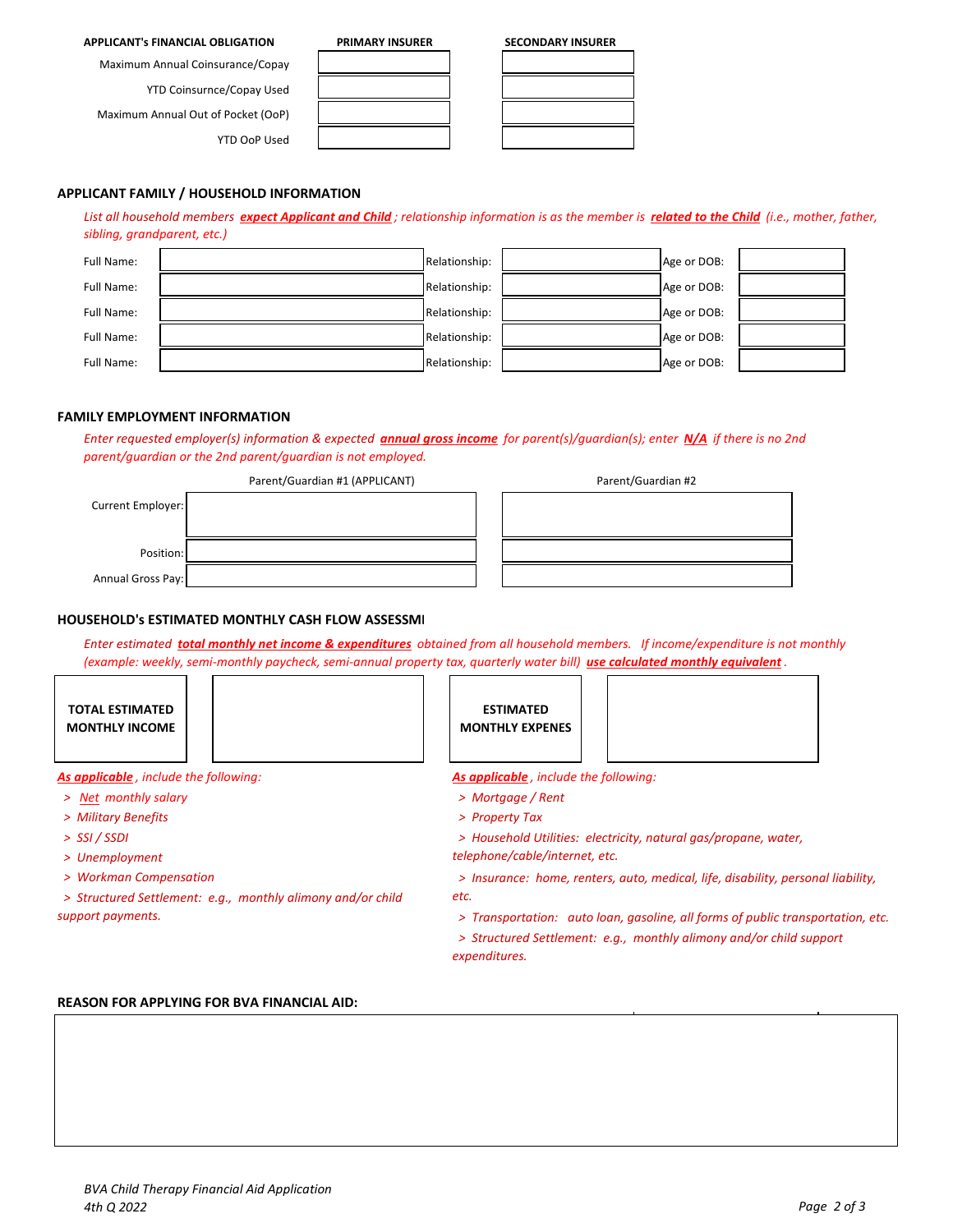### **APPLICANT's FINANCIAL OBLIGATION PRIMARY INSURER SECONDARY INSURER**

Maximum Annual Coinsurance/Copay

YTD Coinsurnce/Copay Used

Maximum Annual Out of Pocket (OoP)

**APPLICANT FAMILY / HOUSEHOLD INFORMATION** 

YTD OoP Used

Full Name:  $\begin{array}{|c|c|c|c|c|c|}\n\hline\n\end{array}$  Relationship:  $\begin{array}{|c|c|c|c|c|}\n\hline\n\end{array}$  Relationship:  $\begin{array}{|c|c|c|c|c|}\n\hline\n\end{array}$  Age or DOB: Full Name:  $\begin{array}{|c|c|c|c|c|}\hline \end{array}$  Relationship:  $\begin{array}{|c|c|c|c|c|}\hline \end{array}$  Age or DOB: Full Name: Relationship: Age or DOB: Full Name: Relationship: Age or DOB: Full Name: Relationship: Age or DOB:

# **FAMILY EMPLOYMENT INFORMATION**

*sibling, grandparent, etc.)*

*Enter requested employer(s) information & expected annual gross income for parent(s)/guardian(s); enter N/A if there is no 2nd parent/guardian or the 2nd parent/guardian is not employed.* 

*List all household members expect Applicant and Child ; relationship information is as the member is related to the Child (i.e., mother, father,* 

|                   | Parent/Guardian #1 (APPLICANT) | Parent/Guardian #2 |
|-------------------|--------------------------------|--------------------|
| Current Employer: |                                |                    |
| Position:         |                                |                    |
| Annual Gross Pay: |                                |                    |

# **HOUSEHOLD's ESTIMATED MONTHLY CASH FLOW ASSESSME**

*Enter estimated total monthly net income & expenditures obtained from all household members. If income/expenditure is not monthly (example: weekly, semi-monthly paycheck, semi-annual property tax, quarterly water bill) use calculated monthly equivalent .* 

**TOTAL ESTIMATED MONTHLY INCOME**

- 
- 
- *> SSI / SSDI*
- *> Unemployment*
- *> Workman Compensation*
- *etc. > Structured Settlement: e.g., monthly alimony and/or child support payments.*

**ESTIMATED MONTHLY EXPENES**



*As applicable , include the following: As applicable , include the following:* 

- *> Net monthly salary > Mortgage / Rent*
- *> Military Benefits > Property Tax*

 *> Household Utilities: electricity, natural gas/propane, water, telephone/cable/internet, etc.*

 *> Insurance: home, renters, auto, medical, life, disability, personal liability,* 

 *> Transportation: auto loan, gasoline, all forms of public transportation, etc.*

 *> Structured Settlement: e.g., monthly alimony and/or child support expenditures.* 

# **REASON FOR APPLYING FOR BVA FINANCIAL AID:**